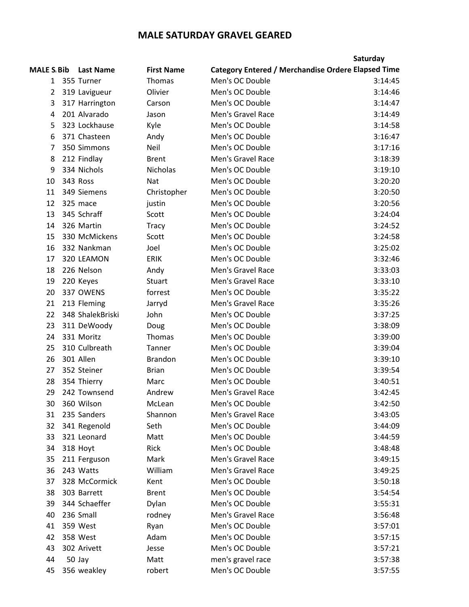## **MALE SATURDAY GRAVEL GEARED**

|                    |                  |                   |                   | Saturday                                                  |
|--------------------|------------------|-------------------|-------------------|-----------------------------------------------------------|
| <b>MALE S. Bib</b> | <b>Last Name</b> | <b>First Name</b> |                   | <b>Category Entered / Merchandise Ordere Elapsed Time</b> |
| 1                  | 355 Turner       | Thomas            | Men's OC Double   | 3:14:45                                                   |
| $\overline{2}$     | 319 Lavigueur    | Olivier           | Men's OC Double   | 3:14:46                                                   |
| 3                  | 317 Harrington   | Carson            | Men's OC Double   | 3:14:47                                                   |
| 4                  | 201 Alvarado     | Jason             | Men's Gravel Race | 3:14:49                                                   |
| 5                  | 323 Lockhause    | Kyle              | Men's OC Double   | 3:14:58                                                   |
| 6                  | 371 Chasteen     | Andy              | Men's OC Double   | 3:16:47                                                   |
| 7                  | 350 Simmons      | Neil              | Men's OC Double   | 3:17:16                                                   |
| 8                  | 212 Findlay      | <b>Brent</b>      | Men's Gravel Race | 3:18:39                                                   |
| 9                  | 334 Nichols      | <b>Nicholas</b>   | Men's OC Double   | 3:19:10                                                   |
| 10                 | 343 Ross         | Nat               | Men's OC Double   | 3:20:20                                                   |
| 11                 | 349 Siemens      | Christopher       | Men's OC Double   | 3:20:50                                                   |
| 12                 | 325 mace         | justin            | Men's OC Double   | 3:20:56                                                   |
| 13                 | 345 Schraff      | Scott             | Men's OC Double   | 3:24:04                                                   |
| 14                 | 326 Martin       | <b>Tracy</b>      | Men's OC Double   | 3:24:52                                                   |
| 15                 | 330 McMickens    | Scott             | Men's OC Double   | 3:24:58                                                   |
| 16                 | 332 Nankman      | Joel              | Men's OC Double   | 3:25:02                                                   |
| 17                 | 320 LEAMON       | <b>ERIK</b>       | Men's OC Double   | 3:32:46                                                   |
| 18                 | 226 Nelson       | Andy              | Men's Gravel Race | 3:33:03                                                   |
| 19                 | 220 Keyes        | <b>Stuart</b>     | Men's Gravel Race | 3:33:10                                                   |
| 20                 | 337 OWENS        | forrest           | Men's OC Double   | 3:35:22                                                   |
| 21                 | 213 Fleming      | Jarryd            | Men's Gravel Race | 3:35:26                                                   |
| 22                 | 348 ShalekBriski | John              | Men's OC Double   | 3:37:25                                                   |
| 23                 | 311 DeWoody      | Doug              | Men's OC Double   | 3:38:09                                                   |
| 24                 | 331 Moritz       | Thomas            | Men's OC Double   | 3:39:00                                                   |
| 25                 | 310 Culbreath    | Tanner            | Men's OC Double   | 3:39:04                                                   |
| 26                 | 301 Allen        | <b>Brandon</b>    | Men's OC Double   | 3:39:10                                                   |
| 27                 | 352 Steiner      | <b>Brian</b>      | Men's OC Double   | 3:39:54                                                   |
| 28                 | 354 Thierry      | Marc              | Men's OC Double   | 3:40:51                                                   |
| 29                 | 242 Townsend     | Andrew            | Men's Gravel Race | 3:42:45                                                   |
| 30                 | 360 Wilson       | McLean            | Men's OC Double   | 3:42:50                                                   |
| 31                 | 235 Sanders      | Shannon           | Men's Gravel Race | 3:43:05                                                   |
| 32                 | 341 Regenold     | Seth              | Men's OC Double   | 3:44:09                                                   |
| 33                 | 321 Leonard      | Matt              | Men's OC Double   | 3:44:59                                                   |
| 34                 | 318 Hoyt         | Rick              | Men's OC Double   | 3:48:48                                                   |
| 35                 | 211 Ferguson     | Mark              | Men's Gravel Race | 3:49:15                                                   |
| 36                 | 243 Watts        | William           | Men's Gravel Race | 3:49:25                                                   |
| 37                 | 328 McCormick    | Kent              | Men's OC Double   | 3:50:18                                                   |
| 38                 | 303 Barrett      | <b>Brent</b>      | Men's OC Double   | 3:54:54                                                   |
| 39                 | 344 Schaeffer    | Dylan             | Men's OC Double   | 3:55:31                                                   |
| 40                 | 236 Small        | rodney            | Men's Gravel Race | 3:56:48                                                   |
| 41                 | 359 West         | Ryan              | Men's OC Double   | 3:57:01                                                   |
| 42                 | 358 West         | Adam              | Men's OC Double   | 3:57:15                                                   |
| 43                 | 302 Arivett      | Jesse             | Men's OC Double   | 3:57:21                                                   |
| 44                 | 50 Jay           | Matt              | men's gravel race | 3:57:38                                                   |
| 45                 | 356 weakley      | robert            | Men's OC Double   | 3:57:55                                                   |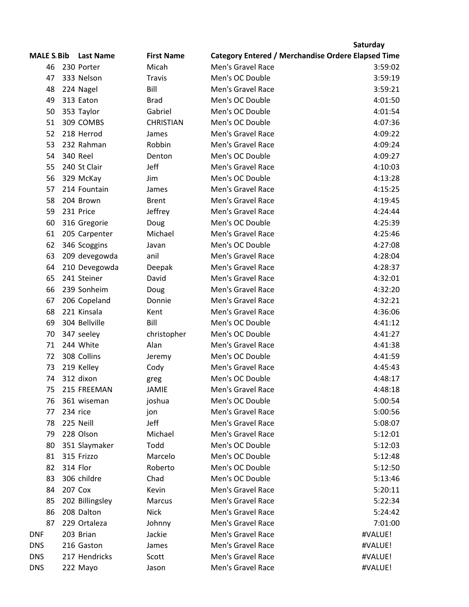|                    |                             |                   |                                                           | Saturday |
|--------------------|-----------------------------|-------------------|-----------------------------------------------------------|----------|
| <b>MALE S. Bib</b> | <b>Last Name</b>            | <b>First Name</b> | <b>Category Entered / Merchandise Ordere Elapsed Time</b> |          |
| 46                 | 230 Porter                  | Micah             | Men's Gravel Race                                         | 3:59:02  |
| 47                 | 333 Nelson                  | <b>Travis</b>     | Men's OC Double                                           | 3:59:19  |
| 48                 | 224 Nagel                   | Bill              | Men's Gravel Race                                         | 3:59:21  |
| 49                 | 313 Eaton                   | <b>Brad</b>       | Men's OC Double                                           | 4:01:50  |
| 50                 | 353 Taylor                  | Gabriel           | Men's OC Double                                           | 4:01:54  |
| 51                 | 309 COMBS                   | <b>CHRISTIAN</b>  | Men's OC Double                                           | 4:07:36  |
| 52                 | 218 Herrod                  | James             | Men's Gravel Race                                         | 4:09:22  |
| 53                 | 232 Rahman                  | Robbin            | Men's Gravel Race                                         | 4:09:24  |
| 54                 | <b>340 Reel</b>             | Denton            | Men's OC Double                                           | 4:09:27  |
| 55                 | 240 St Clair                | Jeff              | Men's Gravel Race                                         | 4:10:03  |
| 56                 | 329 McKay                   | Jim               | Men's OC Double                                           | 4:13:28  |
| 57                 | 214 Fountain                | James             | Men's Gravel Race                                         | 4:15:25  |
| 58                 | 204 Brown                   | <b>Brent</b>      | Men's Gravel Race                                         | 4:19:45  |
| 59                 | 231 Price                   | Jeffrey           | Men's Gravel Race                                         | 4:24:44  |
| 60                 | 316 Gregorie                | Doug              | Men's OC Double                                           | 4:25:39  |
| 61                 | 205 Carpenter               | Michael           | Men's Gravel Race                                         | 4:25:46  |
| 62                 | 346 Scoggins                | Javan             | Men's OC Double                                           | 4:27:08  |
| 63                 | 209 devegowda               | anil              | Men's Gravel Race                                         | 4:28:04  |
| 64                 | 210 Devegowda               | Deepak            | Men's Gravel Race                                         | 4:28:37  |
| 65                 | 241 Steiner                 | David             | Men's Gravel Race                                         | 4:32:01  |
| 66                 | 239 Sonheim                 | Doug              | Men's Gravel Race                                         | 4:32:20  |
| 67                 |                             | Donnie            | Men's Gravel Race                                         | 4:32:21  |
|                    | 206 Copeland<br>221 Kinsala |                   |                                                           |          |
| 68                 |                             | Kent              | Men's Gravel Race                                         | 4:36:06  |
| 69                 | 304 Bellville               | Bill              | Men's OC Double                                           | 4:41:12  |
| 70                 | 347 seeley                  | christopher       | Men's OC Double                                           | 4:41:27  |
| 71                 | 244 White                   | Alan              | Men's Gravel Race                                         | 4:41:38  |
| 72                 | 308 Collins                 | Jeremy            | Men's OC Double                                           | 4:41:59  |
| 73                 | 219 Kelley                  | Cody              | Men's Gravel Race                                         | 4:45:43  |
| 74                 | 312 dixon                   | greg              | Men's OC Double                                           | 4:48:17  |
| 75                 | 215 FREEMAN                 | <b>JAMIE</b>      | Men's Gravel Race                                         | 4:48:18  |
| 76                 | 361 wiseman                 | joshua            | Men's OC Double                                           | 5:00:54  |
| 77                 | 234 rice                    | jon               | Men's Gravel Race                                         | 5:00:56  |
| 78                 | 225 Neill                   | Jeff              | Men's Gravel Race                                         | 5:08:07  |
| 79                 | 228 Olson                   | Michael           | Men's Gravel Race                                         | 5:12:01  |
| 80                 | 351 Slaymaker               | Todd              | Men's OC Double                                           | 5:12:03  |
| 81                 | 315 Frizzo                  | Marcelo           | Men's OC Double                                           | 5:12:48  |
| 82                 | 314 Flor                    | Roberto           | Men's OC Double                                           | 5:12:50  |
| 83                 | 306 childre                 | Chad              | Men's OC Double                                           | 5:13:46  |
| 84                 | 207 Cox                     | Kevin             | Men's Gravel Race                                         | 5:20:11  |
| 85                 | 202 Billingsley             | Marcus            | Men's Gravel Race                                         | 5:22:34  |
| 86                 | 208 Dalton                  | <b>Nick</b>       | Men's Gravel Race                                         | 5:24:42  |
| 87                 | 229 Ortaleza                | Johnny            | Men's Gravel Race                                         | 7:01:00  |
| <b>DNF</b>         | 203 Brian                   | Jackie            | Men's Gravel Race                                         | #VALUE!  |
| <b>DNS</b>         | 216 Gaston                  | James             | Men's Gravel Race                                         | #VALUE!  |
| <b>DNS</b>         | 217 Hendricks               | Scott             | Men's Gravel Race                                         | #VALUE!  |
| <b>DNS</b>         | 222 Mayo                    | Jason             | Men's Gravel Race                                         | #VALUE!  |